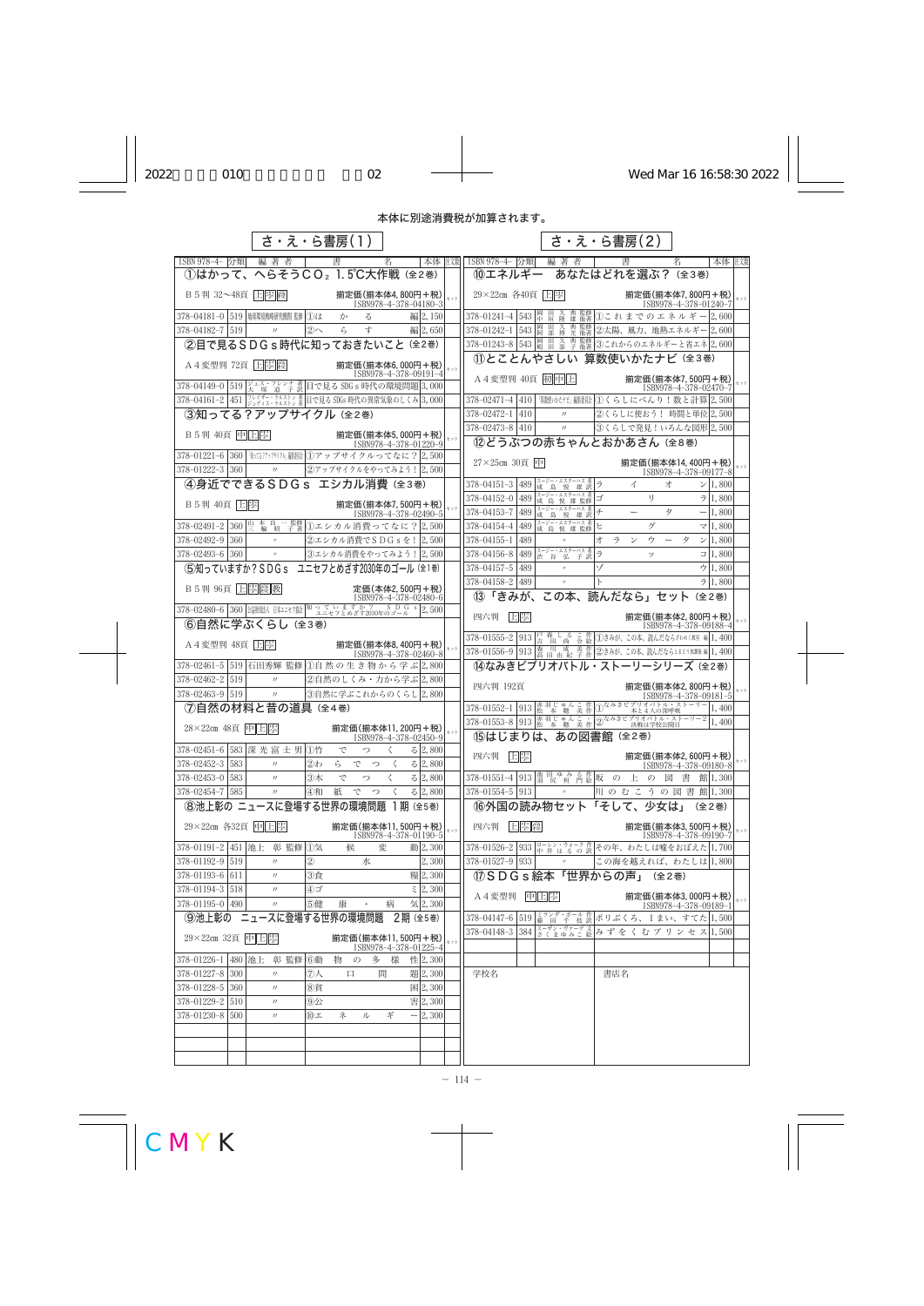## 本体に別途消費税が加算されます。

|                                                                |                                                                                                           | さ・え・ら書房(1)                                  |                       |                        |     | さ・え・ら書房(2)                                                                                                                           |
|----------------------------------------------------------------|-----------------------------------------------------------------------------------------------------------|---------------------------------------------|-----------------------|------------------------|-----|--------------------------------------------------------------------------------------------------------------------------------------|
| ISBN 978-4- 分類 編著者                                             |                                                                                                           | 書                                           | 名                     |                        |     | 本体 主效<br>本体   注《数   ISBN 978-4-   分類 <br>編著者<br>書<br>名                                                                               |
|                                                                |                                                                                                           | 1はかって、へらそうCO2 1.5℃大作戦 (全2巻)                 |                       |                        |     | 10エネルギー あなたはどれを選ぶ? (全3巻)                                                                                                             |
| B 5判 32~48頁 上图 2                                               |                                                                                                           | 揃定価(揃本体4,800円+税)                            | ISBN978-4-378-04180-3 |                        |     | 29×22cm 各40頁 上<br>揃定価(揃本体7,800円+税)<br>セット<br>ISBN978-4-378-01240-7                                                                   |
| 378-04181-0 519 地球環境戦略研究機関監修 ①は                                |                                                                                                           | か<br>る                                      |                       | 編 2,150                |     | 久典監修 ①これまでのエネルギー2,600<br>378-01241-4 543 单 量                                                                                         |
| 378-04182-7 519                                                | $\prime\prime$                                                                                            | 寸<br>②へ<br>ら                                |                       | 編 2,650                |     | 田 久 典監修 ②太陽、風力、地熱エネルギー 2,600<br>378-01242-1 543 岡                                                                                    |
|                                                                |                                                                                                           | ②目で見るSDGs時代に知っておきたいこと (全2巻)                 |                       |                        |     | 378-01243-8 543 鷗 田 久<br>典監修 ③これからのエネルギーと省エネ 2,600                                                                                   |
| A4 変型判 72頁 上 墨 慶                                               |                                                                                                           | 揃定価(揃本体6,000円+税)                            |                       |                        |     | 10とことんやさしい 算数使いかたナビ (全3巻)                                                                                                            |
|                                                                |                                                                                                           |                                             | ISBN978-4-378-09191-4 |                        | セット | A4変型判 40頁 初中上<br>揃定価(揃本体7,500円+税)                                                                                                    |
| 378-04149-0 519 <del>ジェス・フレンチ 著</del> 日で見る SDG s 時代の環境問題 3,000 |                                                                                                           |                                             |                       |                        |     | セット<br>ISBN978-4-378-02470-7                                                                                                         |
| 378-04161-2 451 ジュディス・ラルストン 着日で見る SDGs 時代の異常気象のしくみ 3,000       |                                                                                                           |                                             |                       |                        |     | <sup>[勤機]</sup> がだ」編集200 くらしにべんり!数と計算2,500<br>$378 - 02471 - 4$ 410<br> ②くらしに使おう! 時間と単位 2,500<br>$378 - 02472 - 1$   410<br>$\prime$ |
| ③知ってる?アップサイクル (全2巻)                                            |                                                                                                           |                                             |                       |                        |     | $378 - 02473 - 8$ 410<br> ③くらしで発見!いろんな図形 2,500<br>$\boldsymbol{\eta}$                                                                |
| B 5判 40頁 中 上 學                                                 |                                                                                                           | 揃定価(揃本体5,000円+税)                            | ISBN978-4-378-01220-9 |                        |     | ⑫どうぶつの赤ちゃんとおかあさん (全8巻)                                                                                                               |
| 378-01221-6 360   いな?アッナキイクル 膿(1)アップサイクルってなに? 2,500            |                                                                                                           |                                             |                       |                        |     |                                                                                                                                      |
| 378-01222-3 360                                                | $\prime\prime$                                                                                            | ②アップサイクルをやってみよう! 2,500                      |                       |                        |     | 27×25cm 30頁 中<br>揃定価(揃本体14,400円+税)<br>ISBN978-4-378-09177-8                                                                          |
|                                                                |                                                                                                           | ④身近でできるSDGs エシカル消費 (全3巻)                    |                       |                        |     | スージー・エスターハス著<br>ラ<br>$378 - 04151 - 3$<br>489 成島悦雄訳<br>> 1,800<br>イ<br>才                                                             |
| B 5判 40頁 日国                                                    |                                                                                                           | 揃定価(揃本体7,500円+税)                            |                       |                        |     | スージー・エスターハス 著<br>成 島 悦 雄 監修<br>IJ.<br>$378 - 04152 - 0$<br>7 1,800<br>489<br>ゴ                                                       |
|                                                                |                                                                                                           |                                             | ISBN978-4-378-02490-5 |                        |     | スージー・エスターハス 著<br>378-04153-7<br>チ<br>489<br>$\qquad \qquad -$<br>タ<br>$-1,800$<br>成島悦<br>雄訳                                          |
| 378-02491-2 360 些 輪 昭 子著                                       |                                                                                                           | 1ユシカル消費ってなに? 2,500                          |                       |                        |     | スージー・エスターハス 著<br>成 島 悦 雄 監修<br>ゲ<br>378-04154-4<br>489<br>ヒ<br>$\triangledown$ 1,800                                                 |
| $378 - 02492 - 9$ 360                                          |                                                                                                           | 2エシカル消費でSDGsを!2,500                         |                       |                        |     | 1,800<br>489<br>ゥ<br>タ<br>$378 - 04155 - 1$<br>オ<br>ラ<br>$\mathcal V$                                                                |
| $378 - 02493 - 6$ 360                                          | $\prime\prime$                                                                                            | 3エシカル消費をやってみよう! 2,500                       |                       |                        |     | 489 き 谷 弘 子訳<br>ラ<br>$\Box$ 1,800<br>378-04156-8<br>ッ                                                                                |
|                                                                |                                                                                                           | (5)知っていますか? SDG s ユニセフとめざす2030年のゴール (全1巻)   |                       |                        |     | ゾ<br>ウ $ 1,800$<br>378-04157-5<br>489                                                                                                |
|                                                                |                                                                                                           |                                             | 定価(本体2,500円+税)        |                        |     | $378 - 04158 - 2$   489<br>7 1,800<br>(3)「きみが、この本、読んだなら」セット (全2巻)                                                                    |
| 378-02480-6 360 当調磁 日本エセフ絵 知っていますか? SDGs 2,500                 |                                                                                                           |                                             | ISBN978-4-378-02480-6 |                        |     |                                                                                                                                      |
| ⑥自然に学ぶくらし (全3巻)                                                |                                                                                                           |                                             |                       |                        |     | 旧墨<br>四六判<br>揃定価(揃本体2,800円+税)<br>ISBN978-4-378-09188-4                                                                               |
| A 4 変型判 48頁 日                                                  |                                                                                                           | 揃定価(揃本体8,400円+税)                            |                       |                        |     | 378-01555-2 913   芦 森 し る こ 作 ①きみが、この本、読んだならざわめく数達 編 1,400                                                                           |
|                                                                |                                                                                                           |                                             | ISBN978-4-378-02460-8 |                        |     | 378-01556-9 913 森 川 成 美作2きみが、この本、読んだならとまどう放課後編 1,400                                                                                 |
| 378-02461-5 519 石田秀輝 監修 ①自然の生き物から学ぶ2,800                       |                                                                                                           |                                             |                       |                        |     | (4)なみきビブリオバトル・ストーリーシリーズ (全2巻)                                                                                                        |
| 378-02462-2   519<br>$378 - 02463 - 9$ 519                     | $\prime$                                                                                                  | ②自然のしくみ・力から学ぶ2,800                          |                       |                        |     | 四六判 192頁<br>揃定価(揃本体2,800円+税)                                                                                                         |
| ⑦自然の材料と昔の道具 (全4巻)                                              | $\prime\prime$                                                                                            | ③自然に学ぶこれからのくらし 2,800                        |                       |                        |     | ISBN978-4-378-09181-5<br>378-01552-1 913 恭 羽じゅんこ 作 ①なみきビブリオバトル・ストーリー<br>本と4人の深呼吸<br>1,400                                            |
|                                                                |                                                                                                           |                                             |                       |                        |     | 378-01553-8 913   松 本 聰 美作 $\bigcirc$ なみきピブリオバトル・ストーリー2 1,400                                                                        |
| 28×22cm 48頁  中  上  皐                                           |                                                                                                           | 揃定価(揃本体11,200円+税)                           | ISBN978-4-378-02450-9 |                        | セット | 15はじまりは、あの図書館(全2巻)                                                                                                                   |
| 378-02451-6 583 深 光 富 士 男 ①竹                                   |                                                                                                           | で<br>っ                                      | ₹                     | 3/2,800                |     | 四六判 日零<br>揃定価(揃本体2,600円+税)                                                                                                           |
| 378-02452-3 583                                                | $\prime\prime$                                                                                            | ②わ<br>ら<br>でっ                               | $\langle$             | 3/2,800                |     | ISBN978-4-378-09180-8                                                                                                                |
| 378-02453-0 583<br>378-02454-7 585                             | $\prime$<br>$\prime\prime$                                                                                | 3木<br>で<br>つ<br>紙                           | $\langle$             | 3 2,800<br>3 2,800     |     | 378-01551-4 913 薄 尻 利 門絵板 の 上 の 図 書 館 1,300<br>川のむこうの図書館1,300<br>$378 - 01554 - 5$ 913<br>$\prime\prime$                             |
|                                                                |                                                                                                           | ④和<br>でっ<br>8池上彰の ニュースに登場する世界の環境問題 1期 (全5巻) | $\langle$             |                        |     | 16外国の読み物セット「そして、少女は」<br>(全2巻)                                                                                                        |
|                                                                |                                                                                                           |                                             |                       |                        |     |                                                                                                                                      |
| 29×22cm 各32頁 中 上                                               |                                                                                                           | 揃定価(揃本体11,500円+税)                           | ISBN978-4-378-01190-5 |                        | セット | 四六判 上星 裛<br>揃定価(揃本体3,500円+税)<br>セット<br>ISBN978-4-378-09190-7                                                                         |
| 378-01191-2 451 池上 彰 監修 ①気                                     |                                                                                                           | 候                                           | 変                     | 動 2,300                |     | 378-01526-2 933 ローレン・ウォーク作その年、わたしは嘘をおぼえた 1,700                                                                                       |
| 378-01192-9 519                                                | $\prime\prime$                                                                                            | $\circled{2}$<br>水                          |                       | 2,300                  |     | 378-01527-9 933<br>この海を越えれば、わたしは1,800<br>$\overline{H}$                                                                              |
| 378-01193-6 611<br>378-01194-3 518                             | $\prime\prime$<br>$\prime$                                                                                | 3食<br>④ゴ                                    |                       | 糧2,300<br>$\geq 2,300$ |     | 13 S D G s 絵本「世界からの声」 (全2巻)                                                                                                          |
| 378-01195-0 490                                                | $\prime\prime$                                                                                            | 5健<br>康                                     | 病                     | 気 2,300                |     | 中上星<br>A 4 変型判<br> 揃定価(揃本体3,000円+税) <br>セット                                                                                          |
|                                                                |                                                                                                           | ⑨池上彰の ニュースに登場する世界の環境問題                      | 2期 (全5巻)              |                        |     | ISBN978-4-378-09189-1<br>378-04147-6 519 藤 田 千 枝訳ポリぶくろ、1まい、すてた 1,500                                                                 |
| 29×22cm 32頁 中上厚                                                |                                                                                                           |                                             |                       |                        |     | 378-04148-3 384 スーザン・ヴァーデス みずをくむプリンセス 1,500                                                                                          |
|                                                                |                                                                                                           | 揃定価(揃本体11,500円+税)                           | ISBN978-4-378-01225-4 |                        | セット |                                                                                                                                      |
| $378 - 01226 - 1$                                              | 480 池上 彰 監修 6動                                                                                            | 物<br>$\mathcal{O}$                          | 多 様                   | 性 2,300                |     |                                                                                                                                      |
| 378-01227-8 300                                                | $\prime\prime$                                                                                            | ⑦人<br>口                                     | 問                     | 題 2,300                |     | 学校名<br>書店名                                                                                                                           |
| 378-01228-5 360                                                | $\prime\prime$                                                                                            | 8貧                                          |                       | 困2,300                 |     |                                                                                                                                      |
| 378-01229-2 510                                                | $\mathcal{V}% =\mathcal{W}^{(1)}\otimes\mathcal{W}^{(2)}\otimes\mathcal{W}^{(3)}\otimes\mathcal{W}^{(4)}$ | $\circledcirc$                              |                       | 害 2,300                |     |                                                                                                                                      |
| 378-01230-8<br>500                                             | $\prime\prime$                                                                                            | $10$ 工<br>ネ<br>ル                            | ギ                     | $-2,300$               |     |                                                                                                                                      |
|                                                                |                                                                                                           |                                             |                       |                        |     |                                                                                                                                      |
|                                                                |                                                                                                           |                                             |                       |                        |     |                                                                                                                                      |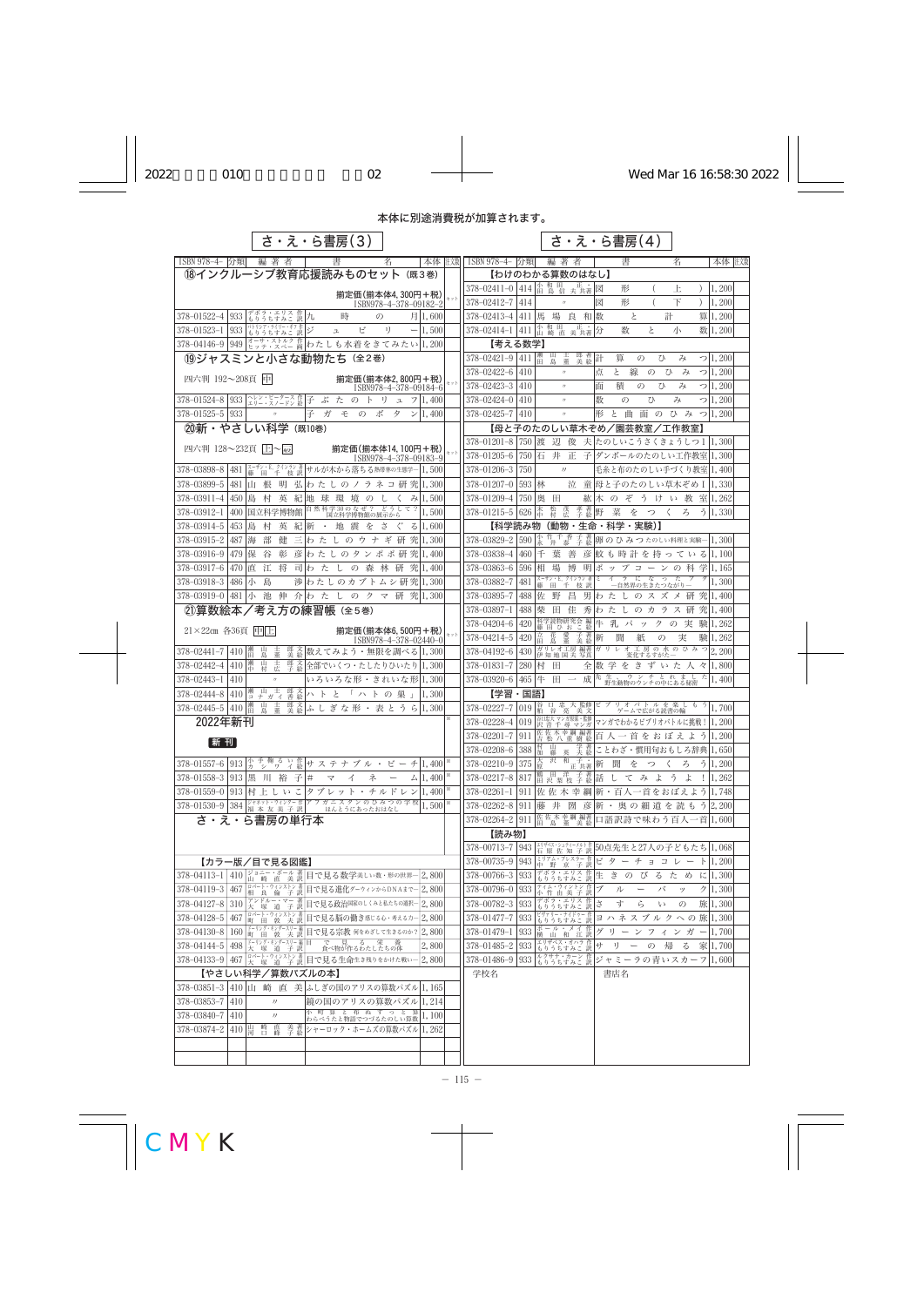## 本体に別途消費税が加算されます。

|                           |                                       | さ・え・ら書房(3)                                                                                                                                                                                                                                                                                                                                               |                                           |     |                                                    |            |                                            | さ・え・ら書房(4)                                                                                         |                           |                                     |       |
|---------------------------|---------------------------------------|----------------------------------------------------------------------------------------------------------------------------------------------------------------------------------------------------------------------------------------------------------------------------------------------------------------------------------------------------------|-------------------------------------------|-----|----------------------------------------------------|------------|--------------------------------------------|----------------------------------------------------------------------------------------------------|---------------------------|-------------------------------------|-------|
| ISBN 978-4- 分類            | 編著者                                   | 書                                                                                                                                                                                                                                                                                                                                                        | 本体 柱嫩<br>名                                |     | ISBN 978-4- 分類                                     |            | 編著者                                        | 書                                                                                                  | 名                         |                                     | 本体 主嫌 |
|                           |                                       | 18インクルーシブ教育応援読みものセット (既3巻)                                                                                                                                                                                                                                                                                                                               |                                           |     |                                                    |            | 【わけのわかる算数のはなし】                             |                                                                                                    |                           |                                     |       |
|                           |                                       |                                                                                                                                                                                                                                                                                                                                                          | 揃定価(揃本体4,300円+税)                          | セット | 378-02411-0 414 出 息 信 夫 共著図                        |            | $\prime$                                   | 形                                                                                                  | 上                         | 1,200<br>$\left( \right)$           |       |
| 378-01522-4<br>933        | デボラ・エリス 作 九<br>もりうちすみこ 訳 九            | 時<br>$\mathcal{O}$                                                                                                                                                                                                                                                                                                                                       | ISBN978-4-378-09182-2<br>月1,600           |     | 378-02412-7<br>378-02413-4 411 馬                   | 414        | 場 良 和 数                                    | 形<br>図<br>と                                                                                        | 下<br>計                    | $\left( \right)$<br>1,200<br>算1,200 |       |
| 933<br>$378 - 01523 - 1$  | パトリシア・ライリー・ギフ作                        | ジ<br>ピ<br>$\mathfrak{L}$                                                                                                                                                                                                                                                                                                                                 | 1)<br>1,500                               |     | $378 - 02414 - 1$ 411                              |            | 小和田 正· 分                                   | と<br>数                                                                                             | 小                         | 数 1,200                             |       |
|                           | もりうちすみこ 訳                             | 378-04146-9 949 きッテ·ストルク作わたしも水着をきてみたい1,200                                                                                                                                                                                                                                                                                                               |                                           |     | 【考える数学】                                            |            |                                            |                                                                                                    |                           |                                     |       |
|                           |                                       | 19ジャスミンと小さな動物たち (全2巻)                                                                                                                                                                                                                                                                                                                                    |                                           |     | 378-02421-9 411   瀬                                |            | 郎 著 計<br>山畫                                | 算<br>$\mathcal{O}$                                                                                 | ひ<br>み                    | 7 1,200                             |       |
|                           |                                       |                                                                                                                                                                                                                                                                                                                                                          |                                           |     | 378-02422-6                                        | 410        |                                            | 線<br>点<br>と<br>$\mathcal{O}$                                                                       | ひ<br>$\mathcal{F}$        | $\bigcirc$ 1, 200                   |       |
| 四六判 192~208頁 中            |                                       |                                                                                                                                                                                                                                                                                                                                                          | 揃定価(揃本体2,800円+税)<br>ISBN978-4-378-09184-6 |     | 378-02423-3                                        | 410        | $\prime$                                   | 積<br>$\mathcal{O}$<br>面                                                                            | ひ<br>み                    | $\bigcirc$  1,200                   |       |
|                           |                                       | 378-01524-8 933 ユリー・スノードン絵子 ぶたのトリ                                                                                                                                                                                                                                                                                                                        | 1.400                                     |     | 378-02424-0                                        | 410        | $\prime\prime$                             | 数<br>$\mathcal{O}$                                                                                 | ひ<br>み                    | 71,200                              |       |
| 378-01525-5<br>933        | $\prime$                              | 子ガモのボ                                                                                                                                                                                                                                                                                                                                                    | タ<br>> 1,400                              |     | 378-02425-7                                        | 410        | $^{\prime\prime}$                          | 形<br>と曲                                                                                            | 面のひみつ1,200                |                                     |       |
| ②新・やさしい科学 (既10巻)          |                                       |                                                                                                                                                                                                                                                                                                                                                          |                                           |     |                                                    |            |                                            | 【母と子のたのしい草木ぞめ/園芸教室/工作教室】                                                                           |                           |                                     |       |
| 四六判 128~232頁 上~扇          |                                       |                                                                                                                                                                                                                                                                                                                                                          | 揃定価(揃本体14,100円+税)                         |     | 378-01205-6                                        |            |                                            | 378-01201-8 750 渡 辺 俊 夫 たのしいこうさくきょうしつ 1 1,300<br> 750 石 井 正 子 ダンボールのたのしい工作教室 1,300                 |                           |                                     |       |
| 481<br>378-03898-8        | スーザン・E. クインラン 著<br>藤 田 千 枝訳           | サルが木から落ちる熱帯林の生態学– 1,500                                                                                                                                                                                                                                                                                                                                  | ISBN978-4-378-09183-9                     |     | 378-01206-3                                        | 750        | $\prime\prime$                             | 毛糸と布のたのしい手づくり教室 1,400                                                                              |                           |                                     |       |
| 378-03899-5<br>481  山     | 根<br>明                                | 弘 わたしのノラネコ研究 1,300                                                                                                                                                                                                                                                                                                                                       |                                           |     | 378-01207-0                                        | 593   林    |                                            | 泣   童  母と子のたのしい草木ぞめ I   1,330                                                                      |                           |                                     |       |
| 378-03911-4<br>450        | 島<br>村<br>英                           | 紀 地 球 環 境 の し く                                                                                                                                                                                                                                                                                                                                          | み1,500                                    |     | 378-01209-4                                        | 750        | 奥 田                                        | 紘木 の ぞ う け い 教 室11,262                                                                             |                           |                                     |       |
| 378-03912-1<br>400        | 国立科学博物館                               | 自然科学30のなぜ? どうして?<br>国立科学博物館の展示から                                                                                                                                                                                                                                                                                                                         | 1,500                                     |     | $378 - 01215 - 5$ 626                              |            | 松村<br>茂広                                   | 孝著野<br>菜をつく                                                                                        | ろ                         | 51,330                              |       |
| 378-03914-5<br>453        | 英<br>島<br>村                           | 紀新 ・ 地 震 を さ ぐ                                                                                                                                                                                                                                                                                                                                           | 3 1,600                                   |     | 【科学読み物                                             |            |                                            | (動物・生命・科学・実験)】                                                                                     |                           |                                     |       |
| 378-03915-2<br>487   海    | 部<br>健                                | 三わ た し の ウ ナ ギ 研 究 1,300                                                                                                                                                                                                                                                                                                                                 |                                           |     | 378-03829-2                                        | 590        | 竹 千 香<br>井 泰                               | 子 著 卵のひみつたのしい料理と実験―1,300                                                                           |                           |                                     |       |
| 378-03916-9<br>479   保    | 谷<br>彰                                | 彦わたしのタンポポ研究 1,400                                                                                                                                                                                                                                                                                                                                        |                                           |     | 378-03838-4                                        | 460        | 千<br>葉<br>善                                | 彦  蚊 も 時 計 を 持 っ て い る  ,100                                                                       |                           |                                     |       |
| 378-03917-6<br>470        | 江 将<br>直                              | 司わ た し の 森 林 研 究  ,400                                                                                                                                                                                                                                                                                                                                   |                                           |     | 378-03863-6                                        | 596        | 相 場<br>博                                   | 明ポップコーンの科学  ,165                                                                                   |                           |                                     |       |
| 378-03918-3<br>486        | 島<br>小                                | 渉 わたしのカブトムシ研究 1,300                                                                                                                                                                                                                                                                                                                                      |                                           |     | 378-03882-7                                        | 481        |                                            | スーザン・E. クインラン 著 ミ イ ラ に な っ た ブ<br>藤 田 千 枝 訳 - 一自然界の生きたつながりー                                       |                           | 1,300                               |       |
| 378-03919-0               | 481   小池<br>伸                         | 介わ た し の ク マ 研 究  ,300                                                                                                                                                                                                                                                                                                                                   |                                           |     | 378-03895-7                                        | 488        | 佐野<br>昌                                    | 男わ た し の ス ズ メ 研 究 1,400                                                                           |                           |                                     |       |
|                           |                                       | ②算数絵本/考え方の練習帳 (全5巻)                                                                                                                                                                                                                                                                                                                                      |                                           |     | $378 - 03897 - 1$                                  | 488        | 柴田                                         | 佳 秀わ た し の カ ラ ス 研 究11.400                                                                         |                           |                                     |       |
| 21×22cm 各36頁 中上           |                                       |                                                                                                                                                                                                                                                                                                                                                          | 揃定価(揃本体6,500円+税)<br>ISBN978-4-378-02440-0 | セット | 378-04204-6<br>378-04214-5                         | 420<br>420 | 科学読物研究会 編<br>藤 田 ひ お こ 絵<br>子著新<br>愛董<br>⊞ | 牛 乳 パ ッ ク の 実 験1,262<br>聞<br>紙                                                                     | 実<br>$\mathcal{O}$        | 験1,262                              |       |
| 378-02441-7<br>410        | 郎 文<br>美 絵<br> 瀬田<br>董<br>島           | 数えてみよう・無限を調べる 1,300                                                                                                                                                                                                                                                                                                                                      |                                           |     | 378-04192-6                                        | 430        |                                            |                                                                                                    |                           |                                     |       |
| 378-02442-4<br>410        | 廿村<br>舌<br>郎文絵                        | 全部でいくつ・たしたりひいたり 1,300                                                                                                                                                                                                                                                                                                                                    |                                           |     | 378-01831-7                                        | 280        | 村<br>$\mathbb{H}$                          | 全数学をきずいた人々1,800                                                                                    |                           |                                     |       |
| $378 - 02443 - 1$<br>410  | $^{\prime\prime}$                     | いろいろな形・きれいな形11,300                                                                                                                                                                                                                                                                                                                                       |                                           |     | 378-03920-6                                        |            | 465 牛 田 一                                  | 成先生、ウンチとれました                                                                                       |                           | 1,400                               |       |
| 410<br>378-02444-8        | 瀬 山 士 郎文<br>コナガイ香絵                    | ハ ト と 「 ハ ト の 巣                                                                                                                                                                                                                                                                                                                                          | 1,300                                     |     | 【学習・国語】                                            |            |                                            |                                                                                                    |                           |                                     |       |
| 378-02445-5<br>410        | 董<br>郎 文<br>美 絵<br>瀬田<br>Щ<br>島       | ふしぎな形・表とうら 1,300                                                                                                                                                                                                                                                                                                                                         |                                           |     |                                                    |            |                                            | 378-02227-7 019 裕 口 忠 大 監修 ビ ブ リ オ バ ト ル を 楽 し も う 1,700<br>378-02227-7 019 粕 谷 亮 美 文 ブ ームで広がる読書の輪 |                           |                                     |       |
| 2022年新刊                   |                                       |                                                                                                                                                                                                                                                                                                                                                          |                                           |     |                                                    |            | 佐 佐 木 幸 綱 編著                               | 378-02228-4 019 沢 音 千 尋 マンガ マンガでわかるビブリオバトルに挑戦! 1,200                                               |                           |                                     |       |
| [新刊]                      |                                       |                                                                                                                                                                                                                                                                                                                                                          |                                           |     | $378 - 02201 - 7$ 911                              |            |                                            | <b>世性小辛潤 編者 百人一首をおぼえよう1,200</b>                                                                    |                           |                                     |       |
|                           |                                       |                                                                                                                                                                                                                                                                                                                                                          |                                           |     | 378-02208-6                                        | 388        |                                            |                                                                                                    |                           |                                     |       |
| 378-01558-3 913 黒 川 裕 子 # |                                       | 378-01557-6 913 $\frac{1}{2}$ $\frac{1}{2}$ $\frac{1}{3}$ $\frac{3}{5}$ $\frac{1}{12}$ $\frac{1}{12}$ $\frac{1}{12}$ $\frac{1}{12}$ $\frac{1}{12}$ $\frac{1}{12}$ $\frac{1}{12}$ $\frac{1}{12}$ $\frac{1}{12}$ $\frac{1}{12}$ $\frac{1}{12}$ $\frac{1}{12}$ $\frac{1}{12}$ $\frac{1}{12}$ $\frac{1}{12}$<br>ネ<br>$\triangledown$<br>$\overline{\Lambda}$ | $\triangle$   1, 400<br>$\qquad \qquad$   |     | 378-02210-9 375 度 沢 和 子 :<br>378-02217-8 817       |            |                                            | <u>"正共著</u> 新聞をつく<br>鶴 田 洋 子著話 し て み よ う                                                           | ろ<br>よ                    | 5 1,200<br>$! \vert 1, 262 \vert$   |       |
|                           |                                       | 378-01559-0 913 村上しいこ タブレット・チルドレン 1,400                                                                                                                                                                                                                                                                                                                  |                                           |     |                                                    |            |                                            | 378-02261-1   911  佐 佐 木 幸 綱 新・百人一首をおぼえよう  1,748                                                   |                           |                                     |       |
|                           |                                       | 378-01530-9 384 ジャネット・ウィンター作 アフガニスタンのひみつの学校                                                                                                                                                                                                                                                                                                              | 1,500                                     |     | $378 - 02262 - 81911$                              |            |                                            | 藤 井 圀 彦  新・奥の細道を読もう  2,200                                                                         |                           |                                     |       |
|                           | さ・え・ら書房の単行本                           |                                                                                                                                                                                                                                                                                                                                                          |                                           |     | $378 - 02264 - 2$ 911                              |            |                                            | 性佐木幸綱編著 口語訳詩で味わう百人一首1,600                                                                          |                           |                                     |       |
|                           |                                       |                                                                                                                                                                                                                                                                                                                                                          |                                           |     | 【読み物】                                              |            |                                            |                                                                                                    |                           |                                     |       |
|                           |                                       |                                                                                                                                                                                                                                                                                                                                                          |                                           |     |                                                    |            |                                            | 378-00713-7 943 当極度佐知子訳50点先生と27人の子どもたち1,068                                                        |                           |                                     |       |
|                           | 【カラー版/目で見る図鑑】                         |                                                                                                                                                                                                                                                                                                                                                          |                                           |     | 378-00735-9                                        | 943        |                                            | ミリアム・プレスラー作 ビターチョコレート 1,200                                                                        |                           |                                     |       |
| 378-04113-1<br>410        |                                       | ジョニー・ボール 著 目で見る数学美しい数・形の世界-山 崎 直 美訳 目で見る数学美しい数・形の世界-                                                                                                                                                                                                                                                                                                     | 2,800                                     |     | $378 - 00766 - 3 \mid 933$                         |            |                                            | <sup>デボラ・エリス 作 </sup> 生 き の び る た め に 1,300                                                        |                           |                                     |       |
|                           |                                       | 378-04119-3 467   uバート・ウィンストン 著日で見る進化ダーウィンからDNAまで                                                                                                                                                                                                                                                                                                        | 2, 800                                    |     | $378 - 00796 - 0$   933                            |            | ティム・ウィントン 作   ブ<br><u>小 竹 由 美 子 訳   ブ</u>  | ル                                                                                                  | バ<br>ッ                    | 2/1,300                             |       |
| $378 - 04127 - 8$ 310     |                                       | アンドルー・マー 著 目で見る政治国家のしくみと私たちの選択–2,800                                                                                                                                                                                                                                                                                                                     |                                           |     | $378 - 00782 - 3$   933                            |            | デボラ・エリス 作 さ<br>もりうちすみこ 訳 さ                 | す<br>ら                                                                                             | <b>V</b><br>$\mathcal{D}$ | 旅1,300                              |       |
| 378-04128-5<br>467        | ドーリング・キンダースリー 編                       | ロバート・ウィンストン 著  目で見る脳の働き感じる心・考えるカー <br> 町 田 敦 夫 訳                                                                                                                                                                                                                                                                                                         | 2.800                                     |     | 378-01477-7                                        | 933        |                                            | ビウァリー・ナイドゥー 作 ヨ ハ ネ ス ブ ル ク へ の 旅 1,300                                                            |                           |                                     |       |
| 378-04144-5<br>498        |                                       | 378-04130-8   160   『 田 敦 夫 訳 日で見る宗教 何をめざして生きるのか? 2,800<br>ドーリング・キングースリー 編 目 でで の 見 る る 栄 養<br>大 塚 道 子 訳   食べ物が作るわたしたちの体                                                                                                                                                                                                                                 | 2,800                                     |     | $378 - 01479 - 1$   933<br>$378 - 01485 - 2$   933 |            | エリザベス・オハラ 作                                | ポール・メイ作│グ リ ー ン フ ィ ン ガ ー│1,700<br>横 山 和 江訳│グ リ ー ン フ ィ ン ガ ー│1,700<br> サ                          | リ ー の 帰 る 家 1,700         |                                     |       |
| 378-04133-9<br>467        |                                       | ロバート・ウィンストン著目で見る生命生き残りをかけた戦いー                                                                                                                                                                                                                                                                                                                            | 2,800                                     |     | $378 - 01486 - 9$   933                            |            | もりうちすみこ 訳<br>ルクサナ・カーン 作<br>もりうちすみこ 訳       | ジャミーラの青いスカーフ 1,600                                                                                 |                           |                                     |       |
|                           | 【やさしい科学/算数パズルの本】                      |                                                                                                                                                                                                                                                                                                                                                          |                                           |     | 学校名                                                |            |                                            | 書店名                                                                                                |                           |                                     |       |
|                           |                                       | 378-03851-3   410   山  崎  直  美  ふしぎの国のアリスの算数パズル  1, 165                                                                                                                                                                                                                                                                                                  |                                           |     |                                                    |            |                                            |                                                                                                    |                           |                                     |       |
| $378 - 03853 - 7$   410   | $\prime$                              | 鏡の国のアリスの算数パズル 1,214                                                                                                                                                                                                                                                                                                                                      |                                           |     |                                                    |            |                                            |                                                                                                    |                           |                                     |       |
| 378-03840-7<br>410        | $\left( \frac{1}{2} \right)$          | 小 町 算 と 布 ぬ す っ と 算 1,100<br>わらべうたと物語でつづるたのしい算数 1,100                                                                                                                                                                                                                                                                                                    |                                           |     |                                                    |            |                                            |                                                                                                    |                           |                                     |       |
| 378-03874-2<br>410        | 直<br>美著<br>崎<br>Щ<br>河<br>$\Box$<br>峰 | シャーロック・ホームズの算数パズル 1,262                                                                                                                                                                                                                                                                                                                                  |                                           |     |                                                    |            |                                            |                                                                                                    |                           |                                     |       |
|                           |                                       |                                                                                                                                                                                                                                                                                                                                                          |                                           |     |                                                    |            |                                            |                                                                                                    |                           |                                     |       |
|                           |                                       |                                                                                                                                                                                                                                                                                                                                                          |                                           |     |                                                    |            |                                            |                                                                                                    |                           |                                     |       |